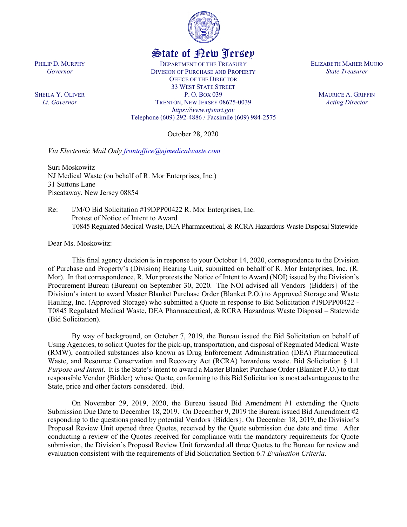

## State of New Jersey

DEPARTMENT OF THE TREASURY DIVISION OF PURCHASE AND PROPERTY OFFICE OF THE DIRECTOR 33 WEST STATE STREET P. O. BOX 039 TRENTON, NEW JERSEY 08625-0039 *https://www.njstart.gov* Telephone (609) 292-4886 / Facsimile (609) 984-2575

October 28, 2020

*Via Electronic Mail Only frontoffice@njmedicalwaste.com*

Suri Moskowitz NJ Medical Waste (on behalf of R. Mor Enterprises, Inc.) 31 Suttons Lane Piscataway, New Jersey 08854

Re: I/M/O Bid Solicitation #19DPP00422 R. Mor Enterprises, Inc. Protest of Notice of Intent to Award T0845 Regulated Medical Waste, DEA Pharmaceutical, & RCRA Hazardous Waste Disposal Statewide

Dear Ms. Moskowitz:

This final agency decision is in response to your October 14, 2020, correspondence to the Division of Purchase and Property's (Division) Hearing Unit, submitted on behalf of R. Mor Enterprises, Inc. (R. Mor). In that correspondence, R. Mor protests the Notice of Intent to Award (NOI) issued by the Division's Procurement Bureau (Bureau) on September 30, 2020. The NOI advised all Vendors {Bidders} of the Division's intent to award Master Blanket Purchase Order (Blanket P.O.) to Approved Storage and Waste Hauling, Inc. (Approved Storage) who submitted a Quote in response to Bid Solicitation #19DPP00422 - T0845 Regulated Medical Waste, DEA Pharmaceutical, & RCRA Hazardous Waste Disposal – Statewide (Bid Solicitation).

By way of background, on October 7, 2019, the Bureau issued the Bid Solicitation on behalf of Using Agencies, to solicit Quotes for the pick-up, transportation, and disposal of Regulated Medical Waste (RMW), controlled substances also known as Drug Enforcement Administration (DEA) Pharmaceutical Waste, and Resource Conservation and Recovery Act (RCRA) hazardous waste. Bid Solicitation § 1.1 *Purpose and Intent*. It is the State's intent to award a Master Blanket Purchase Order (Blanket P.O.) to that responsible Vendor {Bidder} whose Quote, conforming to this Bid Solicitation is most advantageous to the State, price and other factors considered. Ibid.

On November 29, 2019, 2020, the Bureau issued Bid Amendment #1 extending the Quote Submission Due Date to December 18, 2019. On December 9, 2019 the Bureau issued Bid Amendment #2 responding to the questions posed by potential Vendors {Bidders}. On December 18, 2019, the Division's Proposal Review Unit opened three Quotes, received by the Quote submission due date and time. After conducting a review of the Quotes received for compliance with the mandatory requirements for Quote submission, the Division's Proposal Review Unit forwarded all three Quotes to the Bureau for review and evaluation consistent with the requirements of Bid Solicitation Section 6.7 *Evaluation Criteria*.

PHILIP D. MURPHY *Governor*

SHEILA Y. OLIVER *Lt. Governor*

ELIZABETH MAHER MUOIO *State Treasurer*

> MAURICE A. GRIFFIN *Acting Director*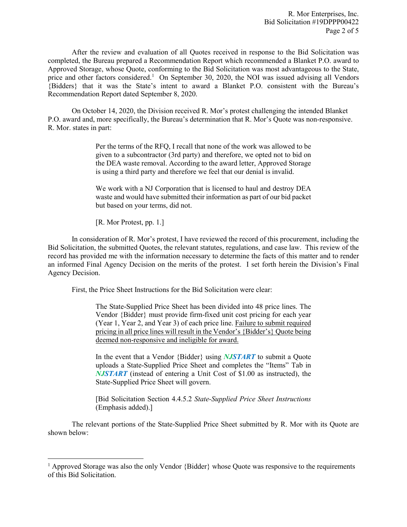R. Mor Enterprises, Inc. Bid Solicitation #19DPPP00422 Page 2 of 5

After the review and evaluation of all Quotes received in response to the Bid Solicitation was completed, the Bureau prepared a Recommendation Report which recommended a Blanket P.O. award to Approved Storage, whose Quote, conforming to the Bid Solicitation was most advantageous to the State, price and other factors considered.<sup>[1](#page-1-0)</sup> On September 30, 2020, the NOI was issued advising all Vendors {Bidders} that it was the State's intent to award a Blanket P.O. consistent with the Bureau's Recommendation Report dated September 8, 2020.

On October 14, 2020, the Division received R. Mor's protest challenging the intended Blanket P.O. award and, more specifically, the Bureau's determination that R. Mor's Quote was non-responsive. R. Mor. states in part:

> Per the terms of the RFQ, I recall that none of the work was allowed to be given to a subcontractor (3rd party) and therefore, we opted not to bid on the DEA waste removal. According to the award letter, Approved Storage is using a third party and therefore we feel that our denial is invalid.

> We work with a NJ Corporation that is licensed to haul and destroy DEA waste and would have submitted their information as part of our bid packet but based on your terms, did not.

[R. Mor Protest, pp. 1.]

l

In consideration of R. Mor's protest, I have reviewed the record of this procurement, including the Bid Solicitation, the submitted Quotes, the relevant statutes, regulations, and case law. This review of the record has provided me with the information necessary to determine the facts of this matter and to render an informed Final Agency Decision on the merits of the protest. I set forth herein the Division's Final Agency Decision.

First, the Price Sheet Instructions for the Bid Solicitation were clear:

The State-Supplied Price Sheet has been divided into 48 price lines. The Vendor {Bidder} must provide firm-fixed unit cost pricing for each year (Year 1, Year 2, and Year 3) of each price line. Failure to submit required pricing in all price lines will result in the Vendor's {Bidder's} Quote being deemed non-responsive and ineligible for award.

In the event that a Vendor {Bidder} using *NJSTART* to submit a Quote uploads a State-Supplied Price Sheet and completes the "Items" Tab in *NJSTART* (instead of entering a Unit Cost of \$1.00 as instructed), the State-Supplied Price Sheet will govern.

[Bid Solicitation Section 4.4.5.2 *State-Supplied Price Sheet Instructions* (Emphasis added).]

The relevant portions of the State-Supplied Price Sheet submitted by R. Mor with its Quote are shown below:

<span id="page-1-0"></span><sup>&</sup>lt;sup>1</sup> Approved Storage was also the only Vendor {Bidder} whose Quote was responsive to the requirements of this Bid Solicitation.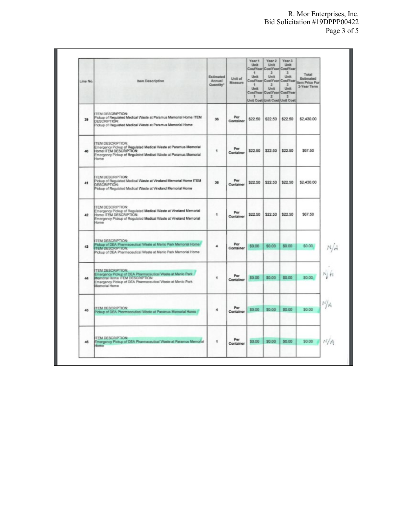| Line No. | <b>Item Description</b>                                                                                                                                                                                 | Estimated<br>Annual<br>Quantity* | Unit of<br>Measure | Year 1<br>Unit<br>÷<br>Unit<br>Unit<br>$\overline{\phantom{a}}$ | Year 2<br>Unit<br>$\overline{z}$<br>Unit<br>2<br>Unit<br>$\overline{2}$ | Year 3<br>Unit<br>CostYear CostYear CostYear<br>$\mathbf{3}$<br>Unit<br>CostYear CostYear CostYear<br>$\mathbf{x}$<br>Unit<br>CostYear CostYear CostYear<br>3<br>Unit Cost Unit Cost Unit Cost | Total<br>Estimated<br>tem Price For<br>3-Year Term |
|----------|---------------------------------------------------------------------------------------------------------------------------------------------------------------------------------------------------------|----------------------------------|--------------------|-----------------------------------------------------------------|-------------------------------------------------------------------------|------------------------------------------------------------------------------------------------------------------------------------------------------------------------------------------------|----------------------------------------------------|
| 39       | <b>ITEM DESCRIPTION:</b><br>Pickup of Regulated Medical Waste at Paramus Memorial Home ITEM<br>DESCRIPTION:<br>Pickup of Regulated Medical Waste at Paramus Memorial Home                               | 36                               | Per<br>Container   | \$22.50                                                         | \$22.50                                                                 | \$22.50                                                                                                                                                                                        | \$2,430.00                                         |
| 40       | <b>ITEM DESCRIPTION:</b><br>Emergency Pickup of Regulated Medical Waste at Paramus Memorial<br>Home ITEM DESCRIPTION:<br>Emergency Pickup of Regulated Medical Waste at Paramus Memorial<br>Home        | Ŧ                                | Per<br>Container   | \$22.50                                                         | \$22.50                                                                 | \$22.50                                                                                                                                                                                        | \$67.50                                            |
| 41       | TEM DESCRIPTION:<br>Pickup of Regulated Medical Waste at Vineland Memorial Home ITEM<br><b>DESCRIPTION:</b><br>Pickup of Requisted Medical Waste at Vineland Memorial Home                              | 36                               | Per<br>Container   | \$22.50                                                         | \$22.50                                                                 | \$22.50                                                                                                                                                                                        | \$2,430.00                                         |
| 42       | <b>TEM DESCRIPTION:</b><br>Emergency Pickup of Regulated Medical Waste at Vineland Memorial<br>Home ITEM DESCRIPTION:<br>Emergency Pickup of Regulated Medical Waste at Vineland Memorial<br>Home       | 1                                | Per<br>Container   | \$22.50                                                         | \$22.50                                                                 | \$22.50                                                                                                                                                                                        | \$67.50                                            |
| 43       | <b>ITEM DESCRIPTION:</b><br>Pickup of DEA Pharmaceutical Waste at Menio Park Memorial Home<br><b>ITEM DESCRIPTION:</b><br>Pickup of DEA Pharmaceutical Waste at Menio Park Memorial Home                | 4                                | Per<br>Container   | \$0.00                                                          | \$0.00                                                                  | \$0.00                                                                                                                                                                                         | \$0.00                                             |
| 44       | <b>TEM DESCRIPTION:</b><br>Emergancy Pickup of DEA Pharmaceutical Waste at Menio Park<br>Memorial Home ITEM DESCRIPTION:<br>Emergency Pickup of DEA Pharmaceutical Waste at Menio Park<br>Memorial Home | 1                                | Per<br>Container   | \$0.00                                                          | \$0.00                                                                  | \$0.00                                                                                                                                                                                         | Νh<br>\$0.00                                       |
| 45       | <b>TEM DESCRIPTION:</b><br>Ickup of DEA Pharmaceutical Waste at Paramus Memorial Home                                                                                                                   | 4                                | Per<br>Container   | \$0.00                                                          | \$0.00                                                                  | \$0.00                                                                                                                                                                                         | N/h<br>\$0.00                                      |
| 46       | <b>TEM DESCRIPTION:</b><br>Emergency Pickup of DEA Pharmaceutical Waste at Paramus Memorial<br>Home                                                                                                     | ٠                                | Per<br>Container   | \$0.00                                                          | \$0.00                                                                  | \$0.00                                                                                                                                                                                         | N/A<br>\$0.00                                      |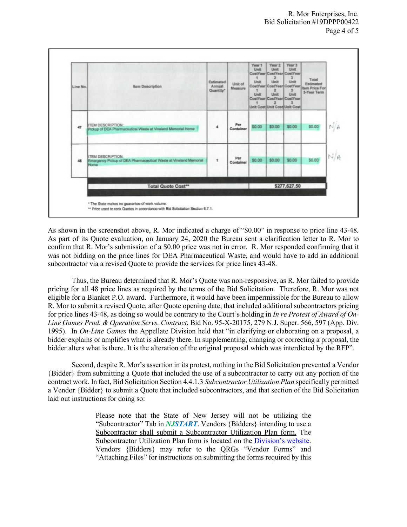

As shown in the screenshot above, R. Mor indicated a charge of "\$0.00" in response to price line 43-48*.* As part of its Quote evaluation, on January 24, 2020 the Bureau sent a clarification letter to R. Mor to confirm that R. Mor's submission of a \$0.00 price was not in error. R. Mor responded confirming that it was not bidding on the price lines for DEA Pharmaceutical Waste, and would have to add an additional subcontractor via a revised Quote to provide the services for price lines 43-48.

Thus, the Bureau determined that R. Mor's Quote was non-responsive, as R. Mor failed to provide pricing for all 48 price lines as required by the terms of the Bid Solicitation. Therefore, R. Mor was not eligible for a Blanket P.O. award. Furthermore, it would have been impermissible for the Bureau to allow R. Mor to submit a revised Quote, after Quote opening date, that included additional subcontractors pricing for price lines 43-48, as doing so would be contrary to the Court's holding in *In re Protest of Award of On-Line Games Prod. & Operation Servs. Contract*, Bid No. 95-X-20175, 279 N.J. Super. 566, 597 (App. Div. 1995). In *On-Line Games* the Appellate Division held that "in clarifying or elaborating on a proposal, a bidder explains or amplifies what is already there. In supplementing, changing or correcting a proposal, the bidder alters what is there. It is the alteration of the original proposal which was interdicted by the RFP".

Second, despite R. Mor's assertion in its protest, nothing in the Bid Solicitation prevented a Vendor {Bidder} from submitting a Quote that included the use of a subcontractor to carry out any portion of the contract work. In fact, Bid Solicitation Section 4.4.1.3 *Subcontractor Utilization Plan* specifically permitted a Vendor {Bidder} to submit a Quote that included subcontractors, and that section of the Bid Solicitation laid out instructions for doing so:

> Please note that the State of New Jersey will not be utilizing the "Subcontractor" Tab in *NJSTART*. Vendors {Bidders} intending to use a Subcontractor shall submit a Subcontractor Utilization Plan form. The Subcontractor Utilization Plan form is located on the [Division's website.](http://www.state.nj.us/treasury/purchase/forms.shtml)  Vendors {Bidders} may refer to the QRGs "Vendor Forms" and "Attaching Files" for instructions on submitting the forms required by this